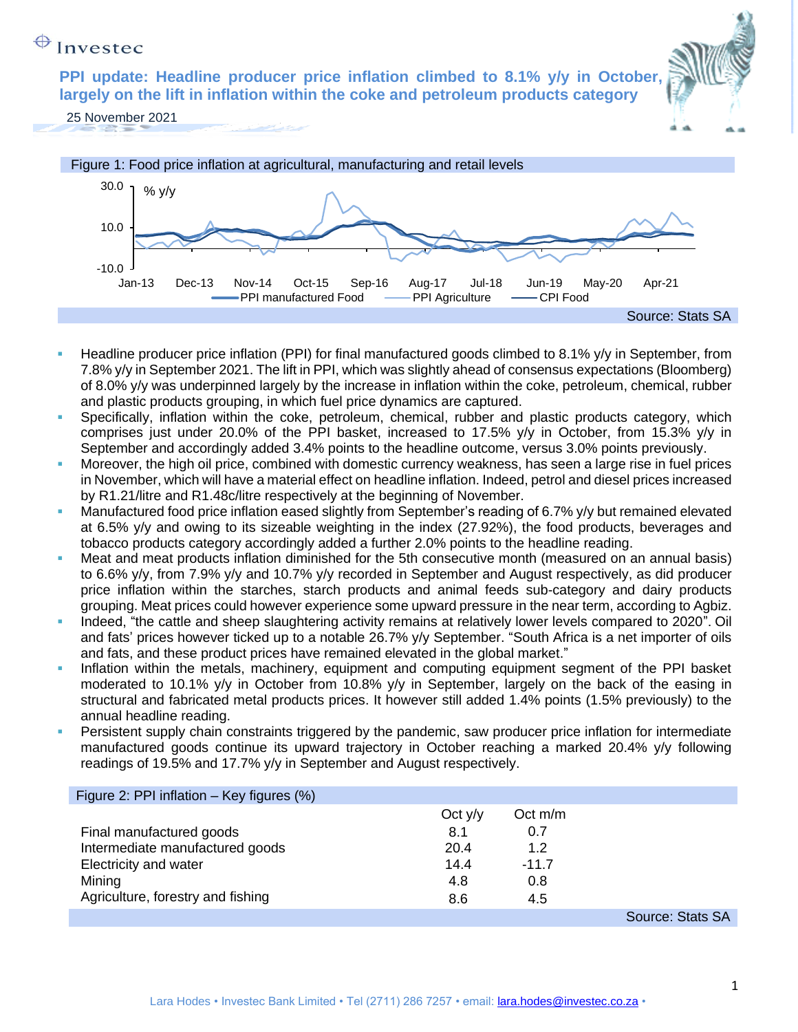#### ↔ Invested

**PPI update: Headline producer price inflation climbed to 8.1% y/y in October, largely on the lift in inflation within the coke and petroleum products category**



25 November 2021



- Headline producer price inflation (PPI) for final manufactured goods climbed to 8.1% y/y in September, from 7.8% y/y in September 2021. The lift in PPI, which was slightly ahead of consensus expectations (Bloomberg) of 8.0% y/y was underpinned largely by the increase in inflation within the coke, petroleum, chemical, rubber and plastic products grouping, in which fuel price dynamics are captured.
- Specifically, inflation within the coke, petroleum, chemical, rubber and plastic products category, which comprises just under 20.0% of the PPI basket, increased to 17.5% y/y in October, from 15.3% y/y in September and accordingly added 3.4% points to the headline outcome, versus 3.0% points previously.
- Moreover, the high oil price, combined with domestic currency weakness, has seen a large rise in fuel prices in November, which will have a material effect on headline inflation. Indeed, petrol and diesel prices increased by R1.21/litre and R1.48c/litre respectively at the beginning of November.
- **Manufactured food price inflation eased slightly from September's reading of 6.7% y/y but remained elevated** at 6.5% y/y and owing to its sizeable weighting in the index (27.92%), the food products, beverages and tobacco products category accordingly added a further 2.0% points to the headline reading.
- Meat and meat products inflation diminished for the 5th consecutive month (measured on an annual basis) to 6.6% y/y, from 7.9% y/y and 10.7% y/y recorded in September and August respectively, as did producer price inflation within the starches, starch products and animal feeds sub-category and dairy products grouping. Meat prices could however experience some upward pressure in the near term, according to Agbiz.
- Indeed, "the cattle and sheep slaughtering activity remains at relatively lower levels compared to 2020". Oil and fats' prices however ticked up to a notable 26.7% y/y September. "South Africa is a net importer of oils and fats, and these product prices have remained elevated in the global market."
- **•** Inflation within the metals, machinery, equipment and computing equipment segment of the PPI basket moderated to 10.1% y/y in October from 10.8% y/y in September, largely on the back of the easing in structural and fabricated metal products prices. It however still added 1.4% points (1.5% previously) to the annual headline reading.
- Persistent supply chain constraints triggered by the pandemic, saw producer price inflation for intermediate manufactured goods continue its upward trajectory in October reaching a marked 20.4% y/y following readings of 19.5% and 17.7% y/y in September and August respectively.

| Figure 2: PPI inflation $-$ Key figures $(\%)$ |           |           |                  |
|------------------------------------------------|-----------|-----------|------------------|
|                                                | Oct $y/y$ | Oct $m/m$ |                  |
| Final manufactured goods                       | 8.1       | 0.7       |                  |
| Intermediate manufactured goods                | 20.4      | 1.2       |                  |
| Electricity and water                          | 14.4      | $-11.7$   |                  |
| Mining                                         | 4.8       | 0.8       |                  |
| Agriculture, forestry and fishing              | 8.6       | 4.5       |                  |
|                                                |           |           | Source: Stats SA |

1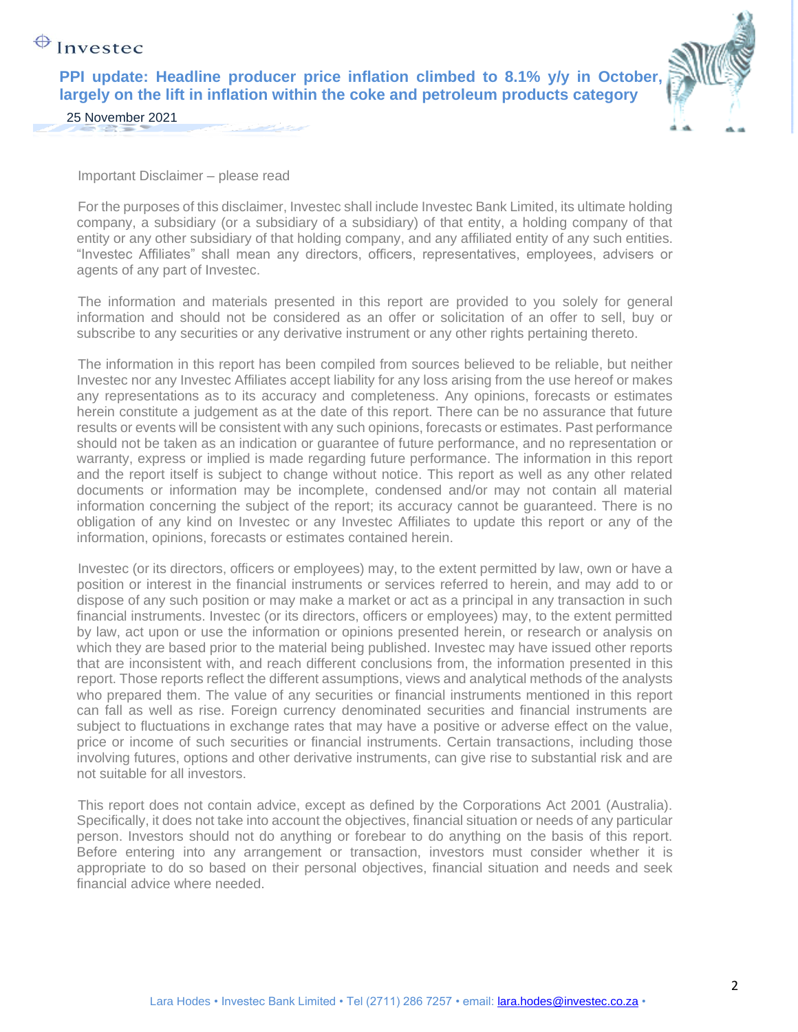## $\bigoplus$  Investec

**PPI update: Headline producer price inflation climbed to 8.1% y/y in October, largely on the lift in inflation within the coke and petroleum products category**



25 November 2021

Important Disclaimer – please read

For the purposes of this disclaimer, Investec shall include Investec Bank Limited, its ultimate holding company, a subsidiary (or a subsidiary of a subsidiary) of that entity, a holding company of that entity or any other subsidiary of that holding company, and any affiliated entity of any such entities. "Investec Affiliates" shall mean any directors, officers, representatives, employees, advisers or agents of any part of Investec.

The information and materials presented in this report are provided to you solely for general information and should not be considered as an offer or solicitation of an offer to sell, buy or subscribe to any securities or any derivative instrument or any other rights pertaining thereto.

The information in this report has been compiled from sources believed to be reliable, but neither Investec nor any Investec Affiliates accept liability for any loss arising from the use hereof or makes any representations as to its accuracy and completeness. Any opinions, forecasts or estimates herein constitute a judgement as at the date of this report. There can be no assurance that future results or events will be consistent with any such opinions, forecasts or estimates. Past performance should not be taken as an indication or guarantee of future performance, and no representation or warranty, express or implied is made regarding future performance. The information in this report and the report itself is subject to change without notice. This report as well as any other related documents or information may be incomplete, condensed and/or may not contain all material information concerning the subject of the report; its accuracy cannot be guaranteed. There is no obligation of any kind on Investec or any Investec Affiliates to update this report or any of the information, opinions, forecasts or estimates contained herein.

Investec (or its directors, officers or employees) may, to the extent permitted by law, own or have a position or interest in the financial instruments or services referred to herein, and may add to or dispose of any such position or may make a market or act as a principal in any transaction in such financial instruments. Investec (or its directors, officers or employees) may, to the extent permitted by law, act upon or use the information or opinions presented herein, or research or analysis on which they are based prior to the material being published. Investec may have issued other reports that are inconsistent with, and reach different conclusions from, the information presented in this report. Those reports reflect the different assumptions, views and analytical methods of the analysts who prepared them. The value of any securities or financial instruments mentioned in this report can fall as well as rise. Foreign currency denominated securities and financial instruments are subject to fluctuations in exchange rates that may have a positive or adverse effect on the value, price or income of such securities or financial instruments. Certain transactions, including those involving futures, options and other derivative instruments, can give rise to substantial risk and are not suitable for all investors.

This report does not contain advice, except as defined by the Corporations Act 2001 (Australia). Specifically, it does not take into account the objectives, financial situation or needs of any particular person. Investors should not do anything or forebear to do anything on the basis of this report. Before entering into any arrangement or transaction, investors must consider whether it is appropriate to do so based on their personal objectives, financial situation and needs and seek financial advice where needed.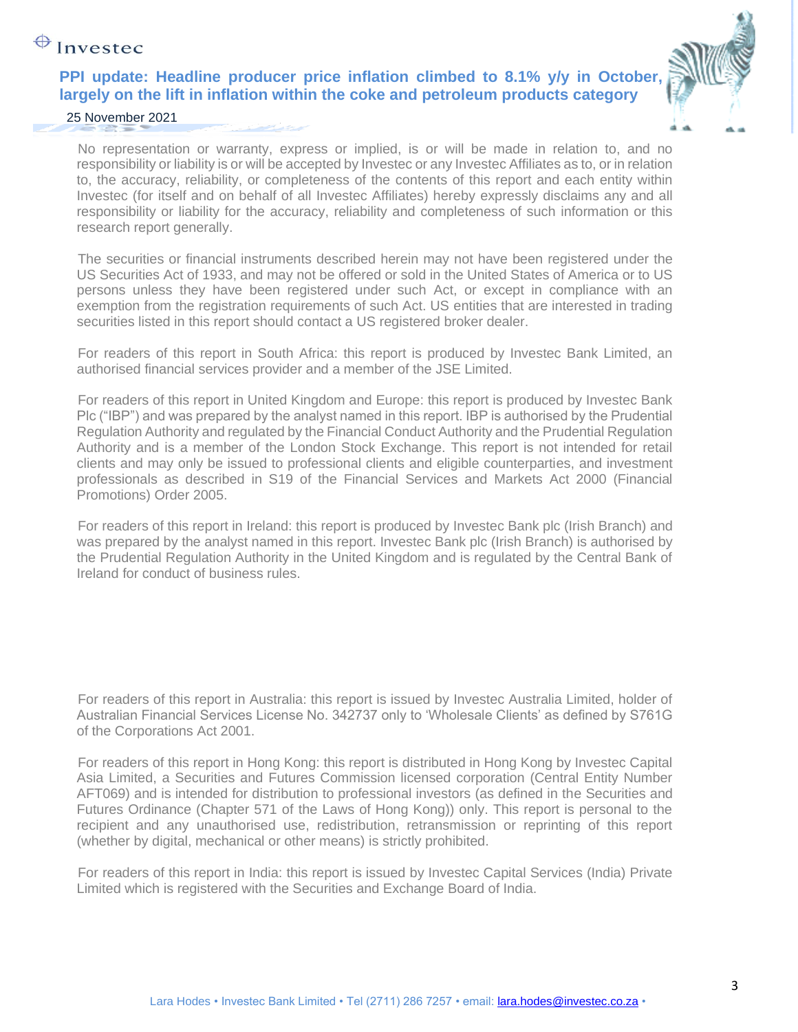# $\bigoplus$  Investec

### **PPI update: Headline producer price inflation climbed to 8.1% y/y in October, largely on the lift in inflation within the coke and petroleum products category**



### 25 November 2021

No representation or warranty, express or implied, is or will be made in relation to, and no responsibility or liability is or will be accepted by Investec or any Investec Affiliates as to, or in relation to, the accuracy, reliability, or completeness of the contents of this report and each entity within Investec (for itself and on behalf of all Investec Affiliates) hereby expressly disclaims any and all responsibility or liability for the accuracy, reliability and completeness of such information or this research report generally.

The securities or financial instruments described herein may not have been registered under the US Securities Act of 1933, and may not be offered or sold in the United States of America or to US persons unless they have been registered under such Act, or except in compliance with an exemption from the registration requirements of such Act. US entities that are interested in trading securities listed in this report should contact a US registered broker dealer.

For readers of this report in South Africa: this report is produced by Investec Bank Limited, an authorised financial services provider and a member of the JSE Limited.

For readers of this report in United Kingdom and Europe: this report is produced by Investec Bank Plc ("IBP") and was prepared by the analyst named in this report. IBP is authorised by the Prudential Regulation Authority and regulated by the Financial Conduct Authority and the Prudential Regulation Authority and is a member of the London Stock Exchange. This report is not intended for retail clients and may only be issued to professional clients and eligible counterparties, and investment professionals as described in S19 of the Financial Services and Markets Act 2000 (Financial Promotions) Order 2005.

For readers of this report in Ireland: this report is produced by Investec Bank plc (Irish Branch) and was prepared by the analyst named in this report. Investec Bank plc (Irish Branch) is authorised by the Prudential Regulation Authority in the United Kingdom and is regulated by the Central Bank of Ireland for conduct of business rules.

For readers of this report in Australia: this report is issued by Investec Australia Limited, holder of Australian Financial Services License No. 342737 only to 'Wholesale Clients' as defined by S761G of the Corporations Act 2001.

For readers of this report in Hong Kong: this report is distributed in Hong Kong by Investec Capital Asia Limited, a Securities and Futures Commission licensed corporation (Central Entity Number AFT069) and is intended for distribution to professional investors (as defined in the Securities and Futures Ordinance (Chapter 571 of the Laws of Hong Kong)) only. This report is personal to the recipient and any unauthorised use, redistribution, retransmission or reprinting of this report (whether by digital, mechanical or other means) is strictly prohibited.

For readers of this report in India: this report is issued by Investec Capital Services (India) Private Limited which is registered with the Securities and Exchange Board of India.